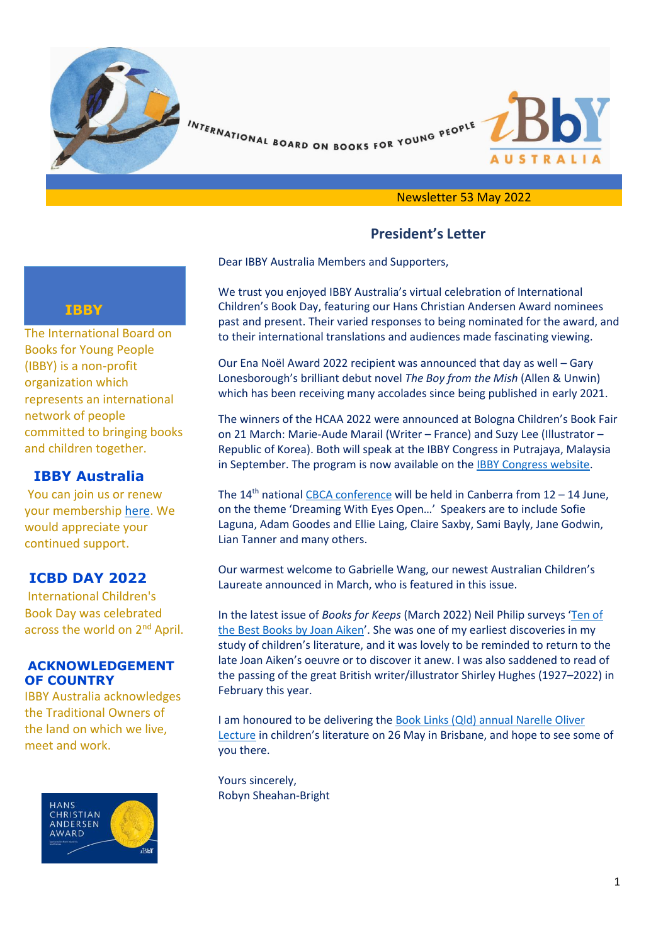

INTERNATIONAL BOARD ON BOOKS FOR YOUNG PEOPLE



#### Newsletter 53 May 2022

# **President's Letter**

Dear IBBY Australia Members and Supporters,

We trust you enjoyed IBBY Australia's virtual celebration of International Children's Book Day, featuring our Hans Christian Andersen Award nominees past and present. Their varied responses to being nominated for the award, and to their international translations and audiences made fascinating viewing.

Our Ena Noël Award 2022 recipient was announced that day as well – Gary Lonesborough's brilliant debut novel *The Boy from the Mish* (Allen & Unwin) which has been receiving many accolades since being published in early 2021.

The winners of the HCAA 2022 were announced at Bologna Children's Book Fair on 21 March: Marie-Aude Marail (Writer – France) and Suzy Lee (Illustrator – Republic of Korea). Both will speak at the IBBY Congress in Putrajaya, Malaysia in September. The program is now available on the [IBBY Congress website.](https://www.ibbycongress2022.org/)

The  $14<sup>th</sup>$  nationa[l CBCA conference](https://cbca.org.au/Conference2022-Program#program) will be held in Canberra from  $12 - 14$  June, on the theme 'Dreaming With Eyes Open…' Speakers are to include Sofie Laguna, Adam Goodes and Ellie Laing, Claire Saxby, Sami Bayly, Jane Godwin, Lian Tanner and many others.

Our warmest welcome to Gabrielle Wang, our newest Australian Children's Laureate announced in March, who is featured in this issue.

In the latest issue of *Books for Keeps* (March 2022) Neil Philip surveys '[Ten of](https://booksforkeeps.co.uk/wp-content/uploads/2022/03/BfK-253-March-2022-single-pages-for-upload.pdf)  [the Best Books by Joan Aiken](https://booksforkeeps.co.uk/wp-content/uploads/2022/03/BfK-253-March-2022-single-pages-for-upload.pdf)'. She was one of my earliest discoveries in my study of children's literature, and it was lovely to be reminded to return to the late Joan Aiken's oeuvre or to discover it anew. I was also saddened to read of the passing of the great British writer/illustrator Shirley Hughes (1927–2022) in February this year.

I am honoured to be delivering th[e Book Links \(Qld\) annual Narelle Oliver](https://booklinks.org.au/dr-robyn-sheahan-bright-2022/)  [Lecture](https://booklinks.org.au/dr-robyn-sheahan-bright-2022/) in children's literature on 26 May in Brisbane, and hope to see some of you there.

Yours sincerely, Robyn Sheahan-Bright

# **IBBY**

The International Board on Books for Young People (IBBY) is a non-profit organization which represents an international network of people committed to bringing books and children together.

### **IBBY Australia**

You can join us or renew your membership [here.](https://ibbyaustralia.wordpress.com/join-us/) We would appreciate your continued support.

# **ICBD DAY 2022**

International Children's Book Day was celebrated across the world on 2<sup>nd</sup> April.

#### **ACKNOWLEDGEMENT OF COUNTRY**

IBBY Australia acknowledges the Traditional Owners of the land on which we live, meet and work.

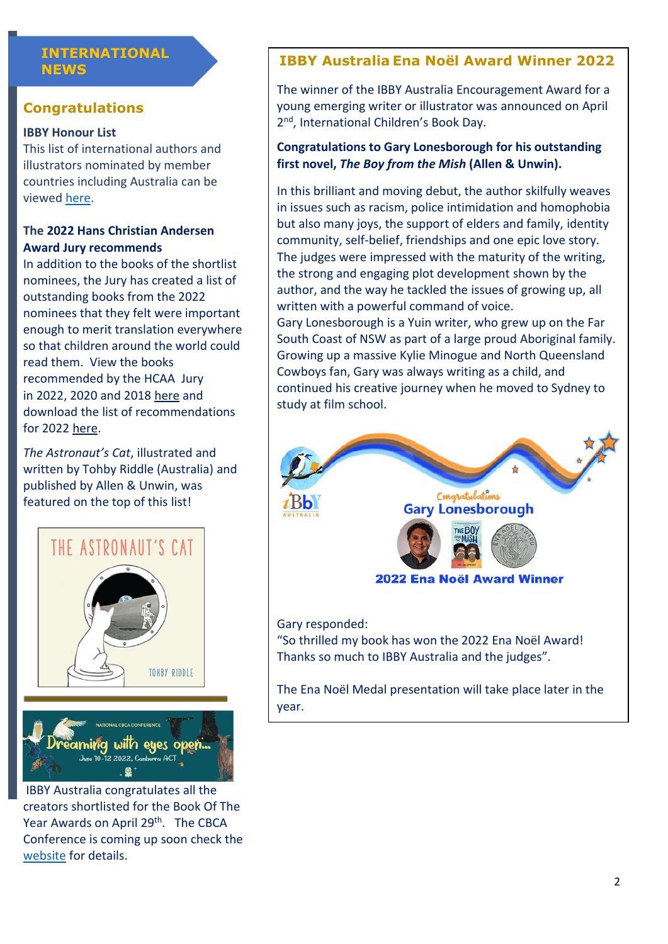# **INTERNATIONAL**

# **Congratulations**

#### **IBBY Honour List**

This list of international authors and illustrators nominated by member countries including Australia can be viewed [here.](https://www.ibby.org/awards-activities/awards/ibby-honour-list/ibby-honour-list-2022)

# **The 2022 Hans Christian Andersen Award Jury recommends**

In addition to the books of the shortlist nominees, the Jury has created a list of outstanding books from the 2022 nominees that they felt were important enough to merit translation everywhere so that children around the world could read them. View the books recommended by the HCAA Jury in 2022, 2020 and 2018 [here](https://www.ibby.org/awards-activities/awards/hans-christian-andersen-award/hans-christian-andersen-jury-recommends) and download the list of recommendations for 2022 [here.](https://www.ibby.org/archive-storage/The_Jury_Recommends_2022.pdf)

*The Astronaut's Cat*, illustrated and written by Tohby Riddle (Australia) and published by Allen & Unwin, was featured on the top of this list!



IBBY Australia congratulates all the creators shortlisted for the Book Of The Year Awards on April 29<sup>th</sup>. The CBCA Conference is coming up soon check the [website](https://cbca.org.au/national-conference#:~:text=The%20National%20CBCA%20Conference%202022%20will%20follow%20the,all%20our%20registrants%20to%20have%20completed%20double%20vaccination.) for details.

- 2

# **NEWS IBBY Australia Ena Noël Award Winner 2022**

The winner of the IBBY Australia Encouragement Award for a young emerging writer or illustrator was announced on April 2<sup>nd</sup>, International Children's Book Day.

# **Congratulations to Gary Lonesborough for his outstanding first novel,** *The Boy from the Mish* **(Allen & Unwin).**

In this brilliant and moving debut, the author skilfully weaves in issues such as racism, police intimidation and homophobia but also many joys, the support of elders and family, identity community, self-belief, friendships and one epic love story. The judges were impressed with the maturity of the writing, the strong and engaging plot development shown by the author, and the way he tackled the issues of growing up, all written with a powerful command of voice.

Gary Lonesborough is a Yuin writer, who grew up on the Far South Coast of NSW as part of a large proud Aboriginal family. Growing up a massive Kylie Minogue and North Queensland Cowboys fan, Gary was always writing as a child, and continued his creative journey when he moved to Sydney to study at film school.



The Ena Noël Medal presentation will take place later in the year.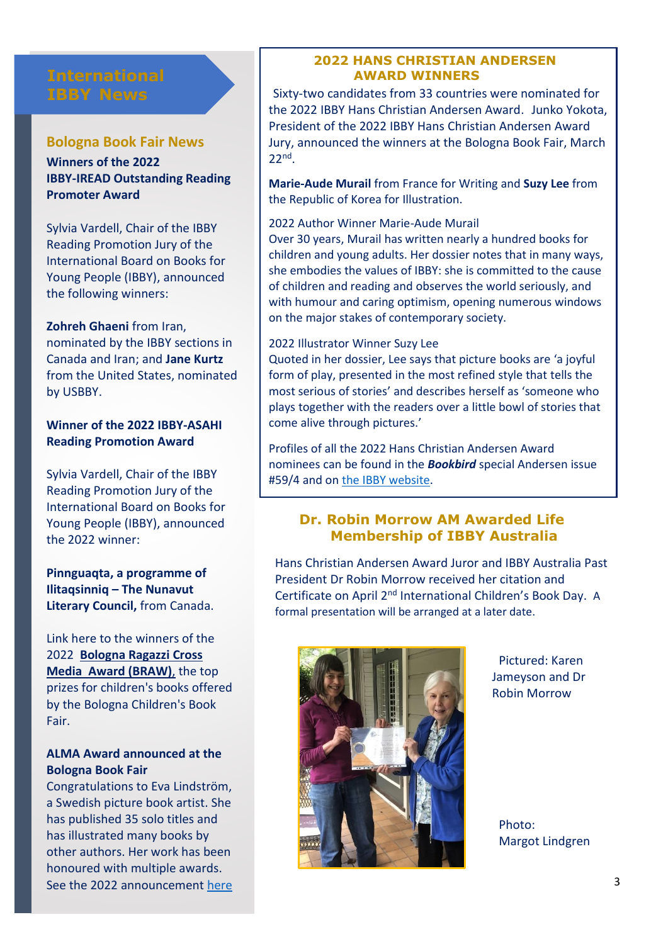# **IBBY News**

#### **Bologna Book Fair News**

**Winners of the 2022 IBBY-IREAD Outstanding Reading Promoter Award**

Sylvia Vardell, Chair of the IBBY Reading Promotion Jury of the International Board on Books for Young People (IBBY), announced the following winners:

**Zohreh Ghaeni** from Iran, nominated by the IBBY sections in

Canada and Iran; and **Jane Kurtz** from the United States, nominated by USBBY.

**Winner of the 2022 IBBY-ASAHI Reading Promotion Award**

Sylvia Vardell, Chair of the IBBY Reading Promotion Jury of the International Board on Books for Young People (IBBY), announced the 2022 winner:

**Pinnguaqta, a programme of Ilitaqsinniq – The Nunavut Literary Council,** from Canada.

Link here to the winners of the 2022 **Bologna [Ragazzi Cross](https://www.bolognachildrensbookfair.com/media/libro/press_release/2022/Cs_BRAW2022_ENG.docx.pdf)  [Media Award \(BRAW\)](https://www.bolognachildrensbookfair.com/media/libro/press_release/2022/Cs_BRAW2022_ENG.docx.pdf)**, the top prizes for children's books offered by the Bologna Children's Book Fair.

#### **ALMA Award announced at the Bologna Book Fair**

Congratulations to Eva Lindström, a Swedish picture book artist. She has published 35 solo titles and has illustrated many books by other authors. Her work has been honoured with multiple awards. See the 2022 announcement [here](https://alma.se/en/)

#### **2022 HANS CHRISTIAN ANDERSEN AWARD WINNERS**

Sixty-two candidates from 33 countries were nominated for the 2022 IBBY Hans Christian Andersen Award. Junko Yokota, President of the 2022 IBBY Hans Christian Andersen Award Jury, announced the winners at the Bologna Book Fair, March 22nd .

**Marie-Aude Murail** from France for Writing and **Suzy Lee** from the Republic of Korea for Illustration.

#### 2022 Author Winner Marie-Aude Murail

Over 30 years, Murail has written nearly a hundred books for children and young adults. Her dossier notes that in many ways, she embodies the values of IBBY: she is committed to the cause of children and reading and observes the world seriously, and with humour and caring optimism, opening numerous windows on the major stakes of contemporary society.

#### 2022 Illustrator Winner Suzy Lee

Quoted in her dossier, Lee says that picture books are 'a joyful form of play, presented in the most refined style that tells the most serious of stories' and describes herself as 'someone who plays together with the readers over a little bowl of stories that come alive through pictures.'

Profiles of all the 2022 Hans Christian Andersen Award nominees can be found in the *Bookbird* special Andersen issue #59/4 and o[n the IBBY website.](http://www.ibby.org/andersen-awards-2022)

#### **Dr. Robin Morrow AM Awarded Life Membership of IBBY Australia**

Hans Christian Andersen Award Juror and IBBY Australia Past President Dr Robin Morrow received her citation and Certificate on April 2nd International Children's Book Day. A formal presentation will be arranged at a later date.



Pictured: Karen Jameyson and Dr Robin Morrow

Photo: Margot Lindgren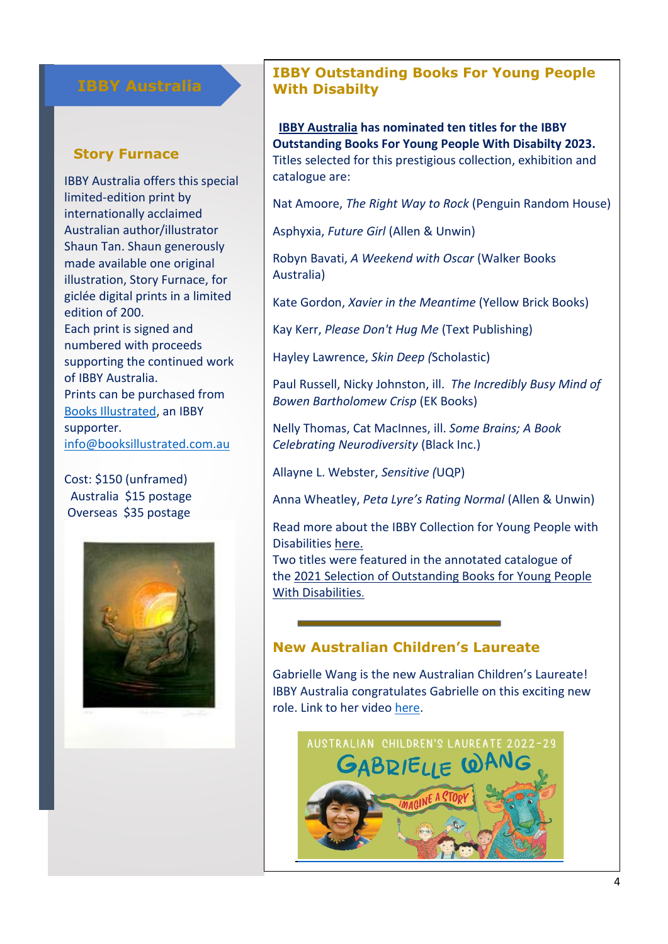# **IBBY Australia**

#### **Story Furnace**

IBBY Australia offers this special limited-edition print by internationally acclaimed Australian author/illustrator Shaun Tan. Shaun generously made available one original illustration, Story Furnace, for giclée digital prints in a limited edition of 200. Each print is signed and numbered with proceeds supporting the continued work of IBBY Australia. Prints can be purchased from [Books Illustrated,](https://www.booksillustrated.com.au/shop/the-story-furnace/) an IBBY supporter. [info@booksillustrated.com.au](mailto:info@booksillustrated.com.au)

#### Cost: \$150 (unframed) Australia \$15 postage Overseas \$35 postage



# **IBBY Outstanding Books For Young People With Disabilty**

 **[IBBY Australia](https://ibbyaustralia.wordpress.com/) has nominated ten titles for the IBBY Outstanding Books For Young People With Disabilty 2023.**  Titles selected for this prestigious collection, exhibition and catalogue are:

Nat Amoore, *The Right Way to Rock* (Penguin Random House)

Asphyxia, *Future Girl* (Allen & Unwin)

Robyn Bavati, *A Weekend with Oscar* (Walker Books Australia)

Kate Gordon, *Xavier in the Meantime* (Yellow Brick Books)

Kay Kerr, *Please Don't Hug Me* (Text Publishing)

Hayley Lawrence, *Skin Deep (*Scholastic)

Paul Russell, Nicky Johnston, ill. *The Incredibly Busy Mind of Bowen Bartholomew Crisp* (EK Books)

Nelly Thomas, Cat MacInnes, ill. *Some Brains; A Book Celebrating Neurodiversity* (Black Inc.)

Allayne L. Webster, *Sensitive (*UQP)

Anna Wheatley, *Peta Lyre's Rating Normal* (Allen & Unwin)

Read more about the IBBY Collection for Young People with Disabilities [here.](https://www.ibby.org/awards-activities/activities/ibby-collection-for-young-people-with-disabilities)

Two titles were featured in the annotated catalogue of the 2021 Selection [of Outstanding Books for Young People](https://www.ibby.org/fileadmin/user_upload/2021_IBBY_Outstanding_Catalogue.pdf)  [With Disabilities](https://www.ibby.org/fileadmin/user_upload/2021_IBBY_Outstanding_Catalogue.pdf).

# **New Australian Children's Laureate**

Gabrielle Wang is the new Australian Children's Laureate! IBBY Australia congratulates Gabrielle on this exciting new role. Link to her video [here.](https://www.childrenslaureate.org.au/)

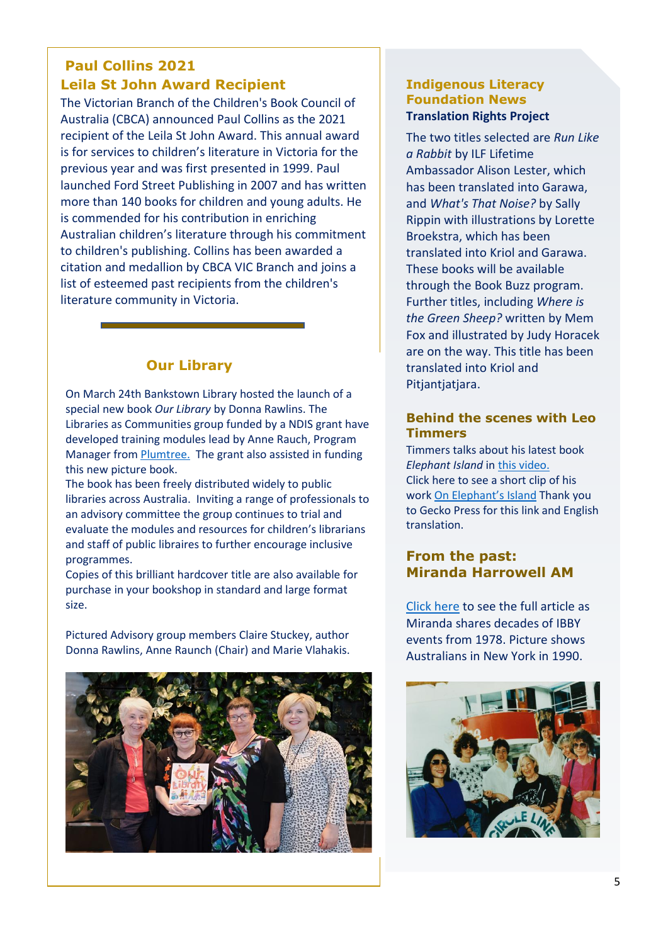# **Paul Collins 2021 Leila St John Award Recipient**

The Victorian Branch of the Children's Book Council of Australia (CBCA) announced Paul Collins as the 2021 recipient of the Leila St John Award. This annual award is for services to children's literature in Victoria for the previous year and was first presented in 1999. Paul launched Ford Street Publishing in 2007 and has written more than 140 books for children and young adults. He is commended for his contribution in enriching Australian children's literature through his commitment to children's publishing. Collins has been awarded a citation and medallion by CBCA VIC Branch and joins a list of esteemed past recipients from the children's literature community in Victoria.

# **Our Library**

On March 24th Bankstown Library hosted the launch of a special new book *Our Library* by Donna Rawlins. The Libraries as Communities group funded by a NDIS grant have developed training modules lead by Anne Rauch, Program Manager from [Plumtree.](http://www.plumtree.org.au/) The grant also assisted in funding this new picture book.

The book has been freely distributed widely to public libraries across Australia. Inviting a range of professionals to an advisory committee the group continues to trial and evaluate the modules and resources for children's librarians and staff of public libraires to further encourage inclusive programmes.

Copies of this brilliant hardcover title are also available for purchase in your bookshop in standard and large format size.

Pictured Advisory group members Claire Stuckey, author Donna Rawlins, Anne Raunch (Chair) and Marie Vlahakis.



#### **Indigenous Literacy Foundation News Translation Rights Project**

The two titles selected are *Run Like a Rabbit* by ILF Lifetime Ambassador Alison Lester, which has been translated into Garawa, and *What's That Noise?* by Sally Rippin with illustrations by Lorette Broekstra, which has been translated into Kriol and Garawa. These books will be available through the Book Buzz program. Further titles, including *Where is the Green Sheep?* written by Mem Fox and illustrated by Judy Horacek are on the way. This title has been translated into Kriol and Pitjantjatjara.

#### **Behind the scenes with Leo Timmers**

Timmers talks about his latest book *Elephant Island* in [this video.](https://www.youtube.com/watch?v=K3WT_BloLRY)  Click here to see a short clip of his work [On Elephant's Island](https://www.youtube.com/watch?v=CgOF_KSXEhg) Thank you to Gecko Press for this link and English translation.

# **From the past: Miranda Harrowell AM**

[Click here](https://ibbyaustralia.wordpress.com/2022/05/04/a-member-remembers/) to see the full article as Miranda shares decades of IBBY events from 1978. Picture shows Australians in New York in 1990.